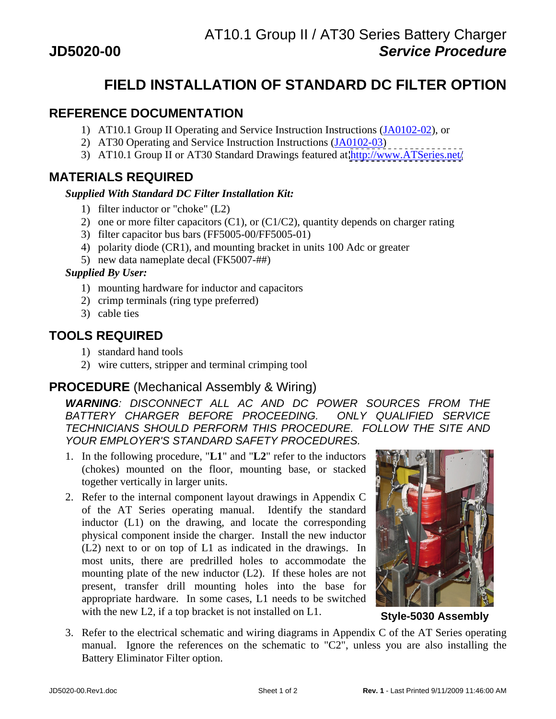# **FIELD INSTALLATION OF STANDARD DC FILTER OPTION**

## **REFERENCE DOCUMENTATION**

- 1) AT10.1 Group II Operating and Service Instruction Instructions (JA0102-02), or
- 2) AT30 Operating and Service Instruction Instructions (JA0102-03)
- 3) AT10.1 Group II or AT30 Standard Drawings featured at<http://www.ATSeries.net/>

#### **MATERIALS REQUIRED**

#### *Supplied With Standard DC Filter Installation Kit:*

- 1) filter inductor or "choke" (L2)
- 2) one or more filter capacitors (C1), or (C1/C2), quantity depends on charger rating
- 3) filter capacitor bus bars (FF5005-00/FF5005-01)
- 4) polarity diode (CR1), and mounting bracket in units 100 Adc or greater
- 5) new data nameplate decal (FK5007-##)

#### *Supplied By User:*

- 1) mounting hardware for inductor and capacitors
- 2) crimp terminals (ring type preferred)
- 3) cable ties

## **TOOLS REQUIRED**

- 1) standard hand tools
- 2) wire cutters, stripper and terminal crimping tool

## **PROCEDURE** (Mechanical Assembly & Wiring)

**WARNING**: DISCONNECT ALL AC AND DC POWER SOURCES FROM THE BATTERY CHARGER BEFORE PROCEEDING. ONLY QUALIFIED SERVICE TECHNICIANS SHOULD PERFORM THIS PROCEDURE. FOLLOW THE SITE AND YOUR EMPLOYER'S STANDARD SAFETY PROCEDURES.

- 1. In the following procedure, "**L1**" and "**L2**" refer to the inductors (chokes) mounted on the floor, mounting base, or stacked together vertically in larger units.
- 2. Refer to the internal component layout drawings in Appendix C of the AT Series operating manual. Identify the standard inductor (L1) on the drawing, and locate the corresponding physical component inside the charger. Install the new inductor (L2) next to or on top of L1 as indicated in the drawings. In most units, there are predrilled holes to accommodate the mounting plate of the new inductor (L2). If these holes are not present, transfer drill mounting holes into the base for appropriate hardware. In some cases, L1 needs to be switched with the new L2, if a top bracket is not installed on L1. **Style-5030 Assembly**



3. Refer to the electrical schematic and wiring diagrams in Appendix C of the AT Series operating manual. Ignore the references on the schematic to "C2", unless you are also installing the Battery Eliminator Filter option.